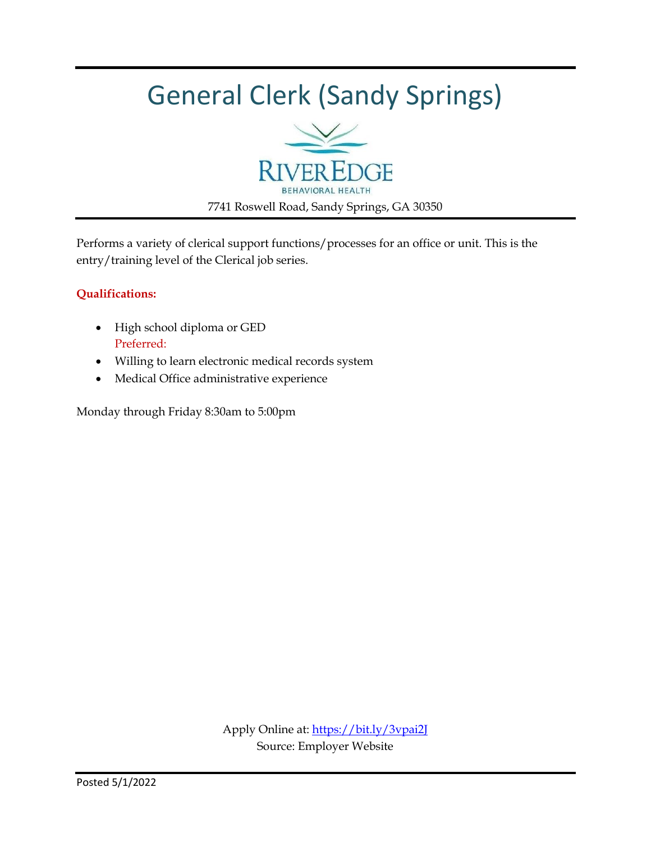### General Clerk (Sandy Springs)



Performs a variety of clerical support functions/processes for an office or unit. This is the entry/training level of the Clerical job series.

#### **Qualifications:**

- High school diploma or GED Preferred:
- Willing to learn electronic medical records system
- Medical Office administrative experience

Monday through Friday 8:30am to 5:00pm

Apply Online at:<https://bit.ly/3vpai2J> Source: Employer Website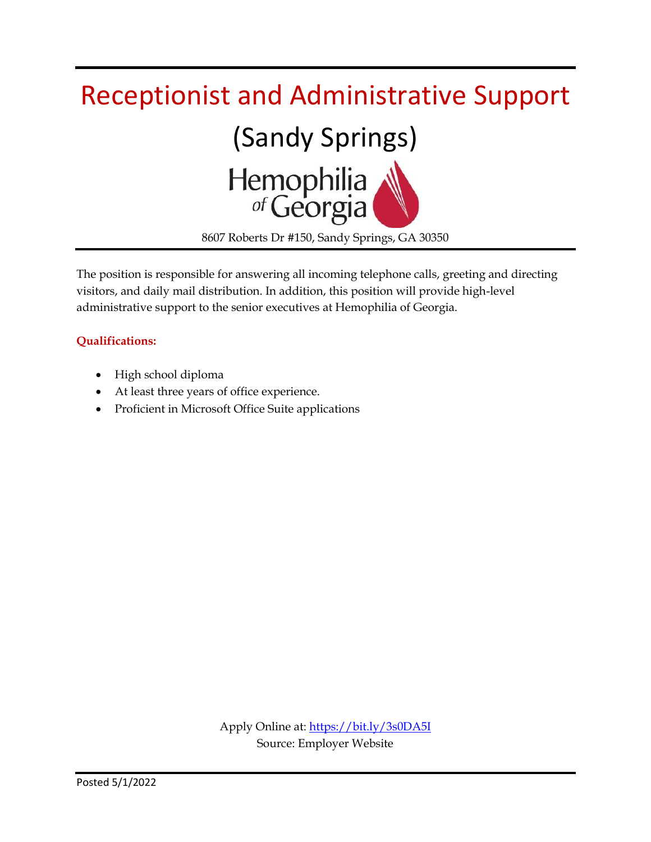

The position is responsible for answering all incoming telephone calls, greeting and directing visitors, and daily mail distribution. In addition, this position will provide high-level administrative support to the senior executives at Hemophilia of Georgia.

#### **Qualifications:**

- High school diploma
- At least three years of office experience.
- Proficient in Microsoft Office Suite applications

Apply Online at:<https://bit.ly/3s0DA5I> Source: Employer Website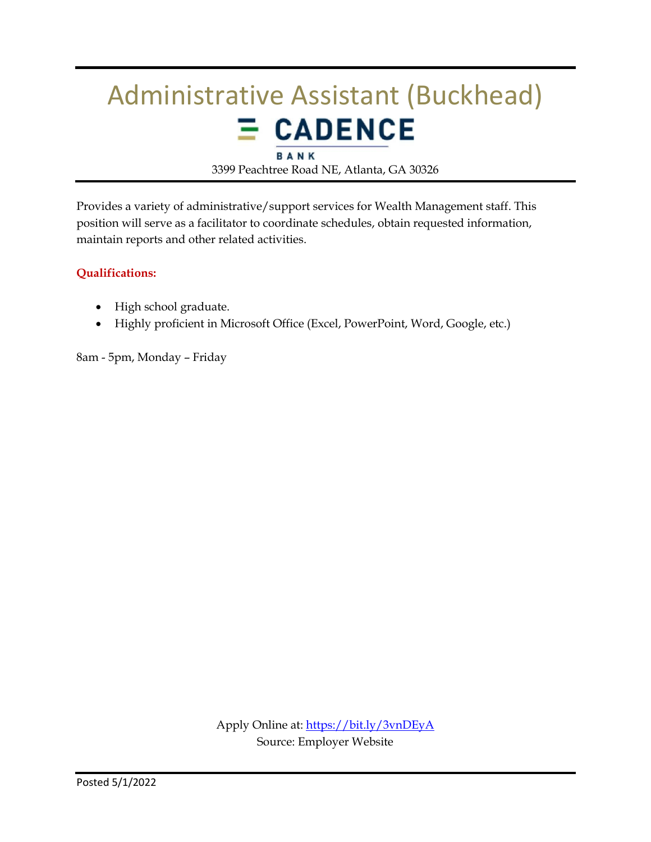### Administrative Assistant (Buckhead)  $E$  CADENCE BANK

3399 Peachtree Road NE, Atlanta, GA 30326

Provides a variety of administrative/support services for Wealth Management staff. This position will serve as a facilitator to coordinate schedules, obtain requested information, maintain reports and other related activities.

#### **Qualifications:**

- High school graduate.
- Highly proficient in Microsoft Office (Excel, PowerPoint, Word, Google, etc.)

8am - 5pm, Monday – Friday

Apply Online at:<https://bit.ly/3vnDEyA> Source: Employer Website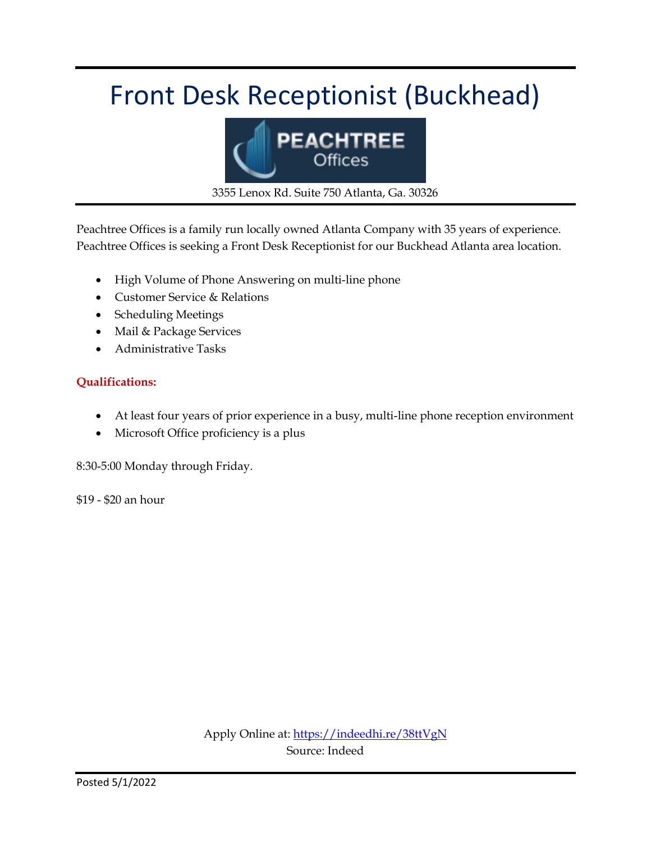### Front Desk Receptionist (Buckhead)



3355 Lenox Rd. Suite 750 Atlanta, Ga. 30326

Peachtree Offices is a family run locally owned Atlanta Company with 35 years of experience. Peachtree Offices is seeking a Front Desk Receptionist for our Buckhead Atlanta area location.

- High Volume of Phone Answering on multi-line phone
- Customer Service & Relations
- Scheduling Meetings
- Mail & Package Services
- Administrative Tasks

#### **Qualifications:**

- At least four years of prior experience in a busy, multi-line phone reception environment
- Microsoft Office proficiency is a plus

8:30-5:00 Monday through Friday.

\$19 - \$20 an hour

Apply Online at:<https://indeedhi.re/38ttVgN> Source: Indeed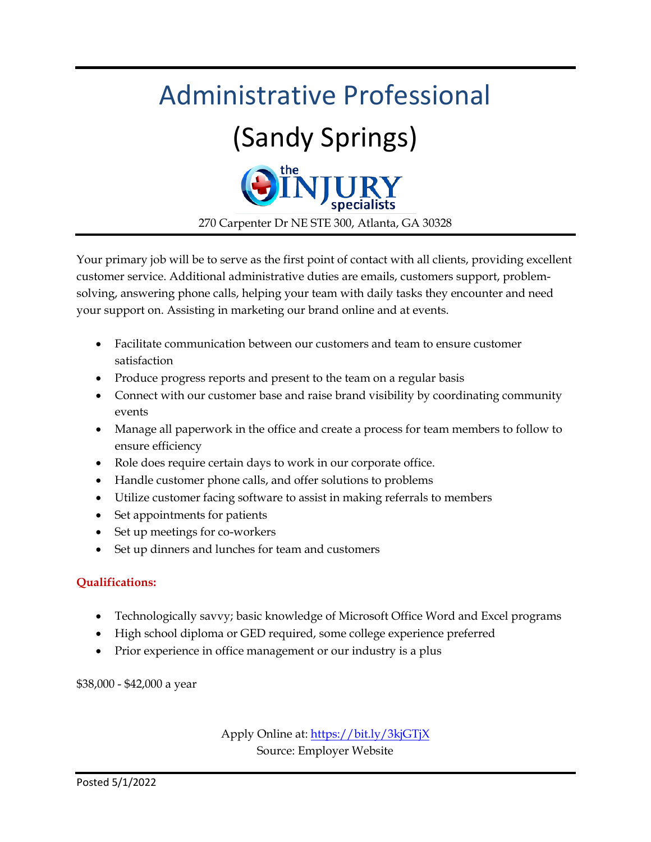

Your primary job will be to serve as the first point of contact with all clients, providing excellent customer service. Additional administrative duties are emails, customers support, problemsolving, answering phone calls, helping your team with daily tasks they encounter and need your support on. Assisting in marketing our brand online and at events.

- Facilitate communication between our customers and team to ensure customer satisfaction
- Produce progress reports and present to the team on a regular basis
- Connect with our customer base and raise brand visibility by coordinating community events
- Manage all paperwork in the office and create a process for team members to follow to ensure efficiency
- Role does require certain days to work in our corporate office.
- Handle customer phone calls, and offer solutions to problems
- Utilize customer facing software to assist in making referrals to members
- Set appointments for patients
- Set up meetings for co-workers
- Set up dinners and lunches for team and customers

#### **Qualifications:**

- Technologically savvy; basic knowledge of Microsoft Office Word and Excel programs
- High school diploma or GED required, some college experience preferred
- Prior experience in office management or our industry is a plus

\$38,000 - \$42,000 a year

Apply Online at:<https://bit.ly/3kjGTjX> Source: Employer Website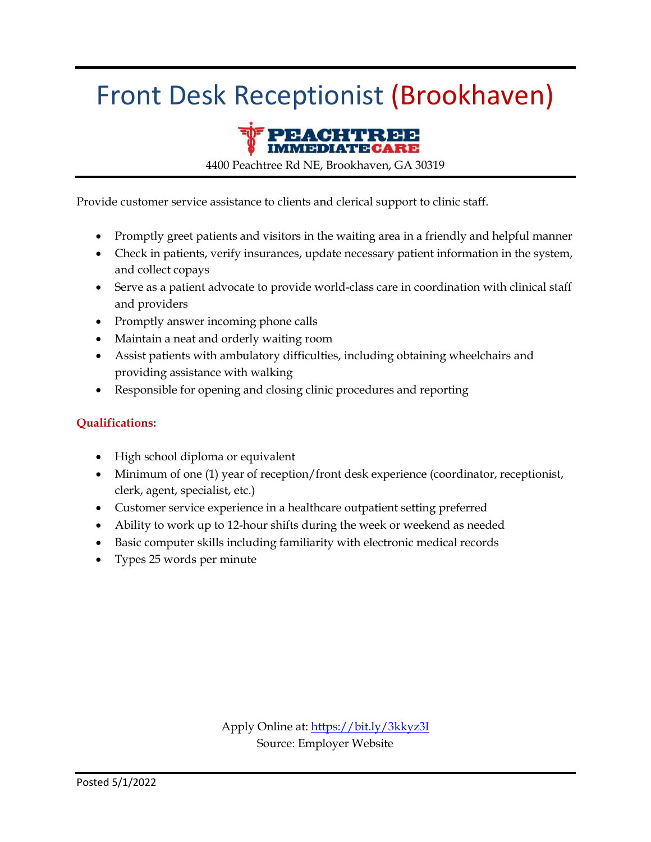### Front Desk Receptionist (Brookhaven)



4400 Peachtree Rd NE, Brookhaven, GA 30319

Provide customer service assistance to clients and clerical support to clinic staff.

- Promptly greet patients and visitors in the waiting area in a friendly and helpful manner
- Check in patients, verify insurances, update necessary patient information in the system, and collect copays
- Serve as a patient advocate to provide world-class care in coordination with clinical staff and providers
- Promptly answer incoming phone calls
- Maintain a neat and orderly waiting room
- Assist patients with ambulatory difficulties, including obtaining wheelchairs and providing assistance with walking
- Responsible for opening and closing clinic procedures and reporting

#### **Qualifications:**

- High school diploma or equivalent
- Minimum of one (1) year of reception/front desk experience (coordinator, receptionist, clerk, agent, specialist, etc.)
- Customer service experience in a healthcare outpatient setting preferred
- Ability to work up to 12-hour shifts during the week or weekend as needed
- Basic computer skills including familiarity with electronic medical records
- Types 25 words per minute

Apply Online at[: https://bit.ly/3kkyz3I](https://bit.ly/3kkyz3I) Source: Employer Website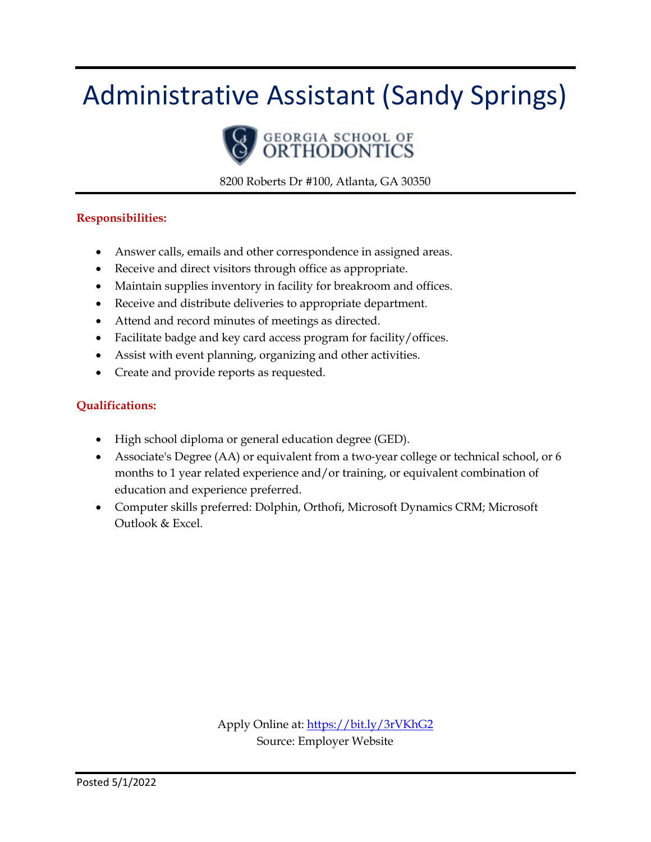### Administrative Assistant (Sandy Springs)



8200 Roberts Dr #100, Atlanta, GA 30350

#### **Responsibilities:**

- Answer calls, emails and other correspondence in assigned areas.
- Receive and direct visitors through office as appropriate.
- Maintain supplies inventory in facility for breakroom and offices.
- Receive and distribute deliveries to appropriate department.
- Attend and record minutes of meetings as directed.
- Facilitate badge and key card access program for facility/offices.
- Assist with event planning, organizing and other activities.
- Create and provide reports as requested.

#### **Qualifications:**

- High school diploma or general education degree (GED).
- Associate's Degree (AA) or equivalent from a two-year college or technical school, or 6 months to 1 year related experience and/or training, or equivalent combination of education and experience preferred.
- Computer skills preferred: Dolphin, Orthofi, Microsoft Dynamics CRM; Microsoft Outlook & Excel.

Apply Online at:<https://bit.ly/3rVKhG2> Source: Employer Website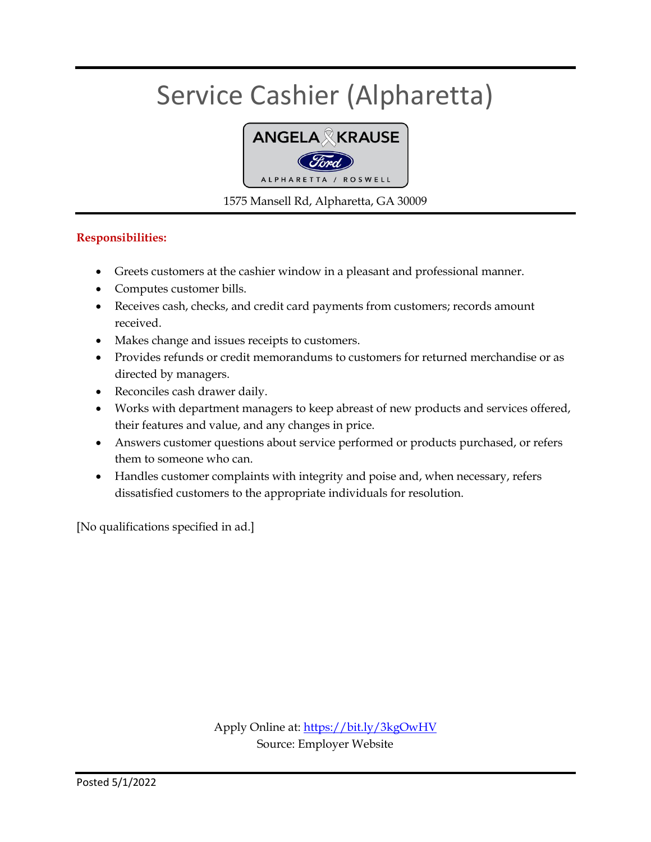### Service Cashier (Alpharetta)



1575 Mansell Rd, Alpharetta, GA 30009

#### **Responsibilities:**

- Greets customers at the cashier window in a pleasant and professional manner.
- Computes customer bills.
- Receives cash, checks, and credit card payments from customers; records amount received.
- Makes change and issues receipts to customers.
- Provides refunds or credit memorandums to customers for returned merchandise or as directed by managers.
- Reconciles cash drawer daily.
- Works with department managers to keep abreast of new products and services offered, their features and value, and any changes in price.
- Answers customer questions about service performed or products purchased, or refers them to someone who can.
- Handles customer complaints with integrity and poise and, when necessary, refers dissatisfied customers to the appropriate individuals for resolution.

[No qualifications specified in ad.]

Apply Online at:<https://bit.ly/3kgOwHV> Source: Employer Website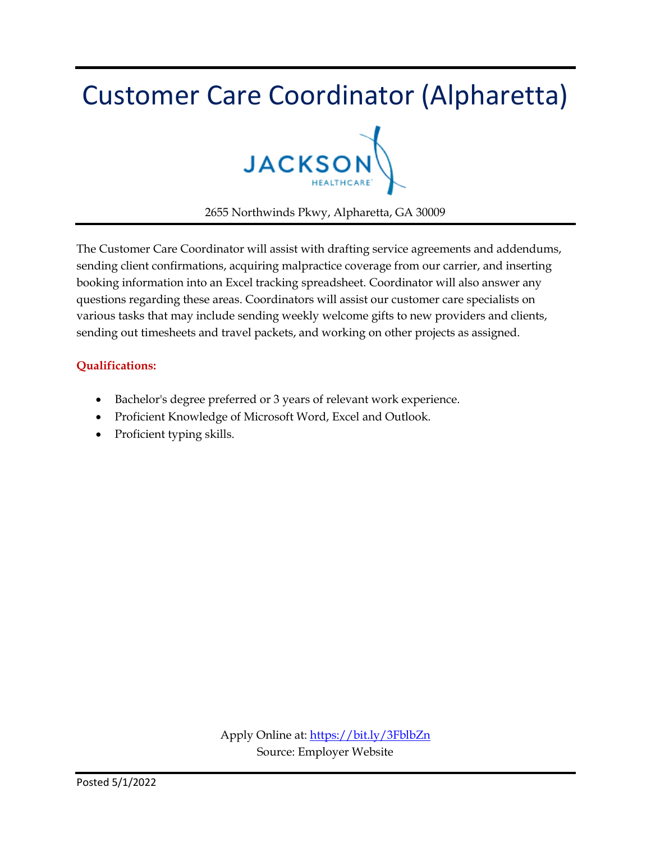### Customer Care Coordinator (Alpharetta)



2655 Northwinds Pkwy, Alpharetta, GA 30009

The Customer Care Coordinator will assist with drafting service agreements and addendums, sending client confirmations, acquiring malpractice coverage from our carrier, and inserting booking information into an Excel tracking spreadsheet. Coordinator will also answer any questions regarding these areas. Coordinators will assist our customer care specialists on various tasks that may include sending weekly welcome gifts to new providers and clients, sending out timesheets and travel packets, and working on other projects as assigned.

#### **Qualifications:**

- Bachelor's degree preferred or 3 years of relevant work experience.
- Proficient Knowledge of Microsoft Word, Excel and Outlook.
- Proficient typing skills.

Apply Online at[: https://bit.ly/3FblbZn](https://bit.ly/3FblbZn) Source: Employer Website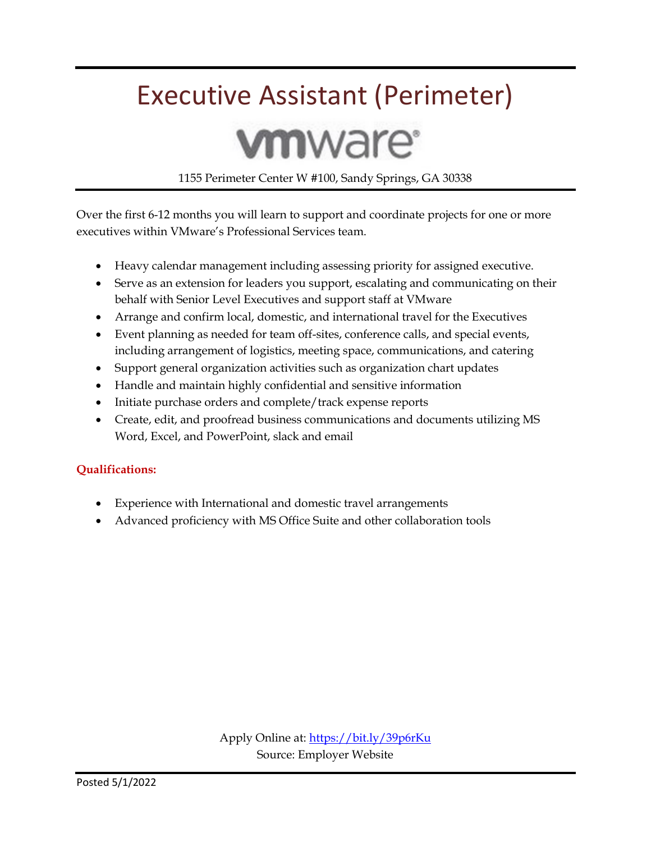### Executive Assistant (Perimeter)

# **vm**ware<sup>®</sup>

1155 Perimeter Center W #100, Sandy Springs, GA 30338

Over the first 6-12 months you will learn to support and coordinate projects for one or more executives within VMware's Professional Services team.

- Heavy calendar management including assessing priority for assigned executive.
- Serve as an extension for leaders you support, escalating and communicating on their behalf with Senior Level Executives and support staff at VMware
- Arrange and confirm local, domestic, and international travel for the Executives
- Event planning as needed for team off-sites, conference calls, and special events, including arrangement of logistics, meeting space, communications, and catering
- Support general organization activities such as organization chart updates
- Handle and maintain highly confidential and sensitive information
- Initiate purchase orders and complete/track expense reports
- Create, edit, and proofread business communications and documents utilizing MS Word, Excel, and PowerPoint, slack and email

#### **Qualifications:**

- Experience with International and domestic travel arrangements
- Advanced proficiency with MS Office Suite and other collaboration tools

Apply Online at:<https://bit.ly/39p6rKu> Source: Employer Website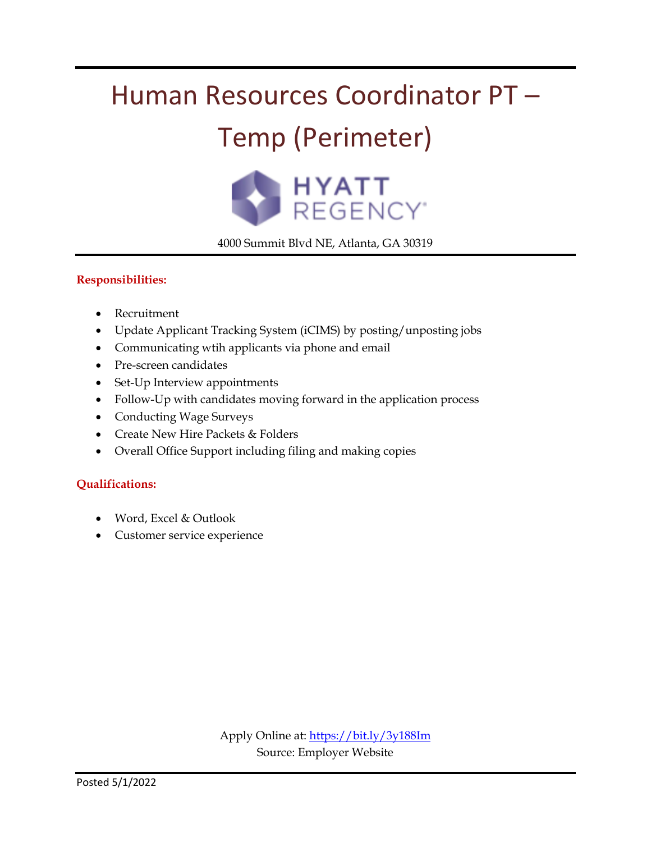## Human Resources Coordinator PT –

### Temp (Perimeter)



4000 Summit Blvd NE, Atlanta, GA 30319

#### **Responsibilities:**

- Recruitment
- Update Applicant Tracking System (iCIMS) by posting/unposting jobs
- Communicating wtih applicants via phone and email
- Pre-screen candidates
- Set-Up Interview appointments
- Follow-Up with candidates moving forward in the application process
- Conducting Wage Surveys
- Create New Hire Packets & Folders
- Overall Office Support including filing and making copies

#### **Qualifications:**

- Word, Excel & Outlook
- Customer service experience

Apply Online at:<https://bit.ly/3y188Im> Source: Employer Website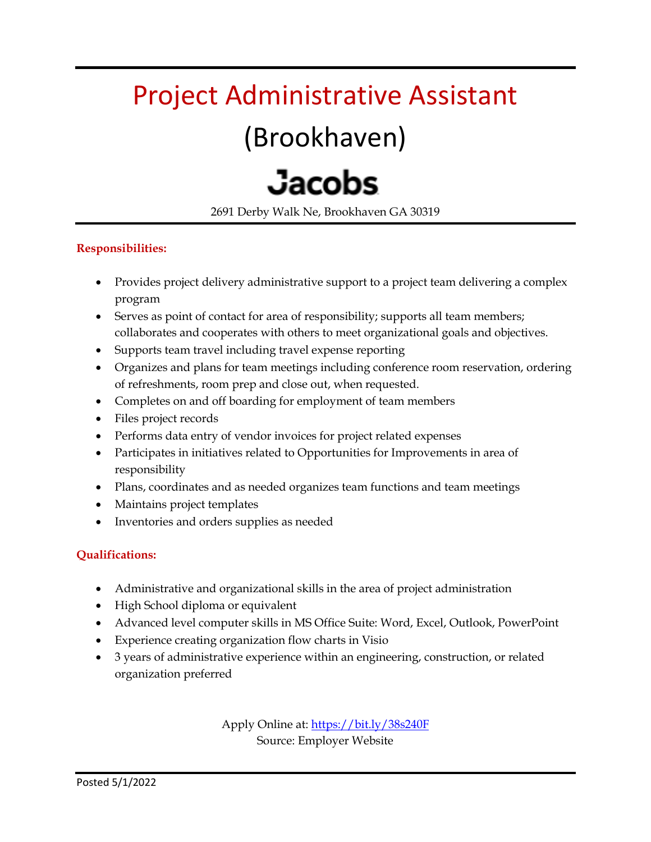### Project Administrative Assistant

### (Brookhaven)

# **Jacobs**

2691 Derby Walk Ne, Brookhaven GA 30319

#### **Responsibilities:**

- Provides project delivery administrative support to a project team delivering a complex program
- Serves as point of contact for area of responsibility; supports all team members; collaborates and cooperates with others to meet organizational goals and objectives.
- Supports team travel including travel expense reporting
- Organizes and plans for team meetings including conference room reservation, ordering of refreshments, room prep and close out, when requested.
- Completes on and off boarding for employment of team members
- Files project records
- Performs data entry of vendor invoices for project related expenses
- Participates in initiatives related to Opportunities for Improvements in area of responsibility
- Plans, coordinates and as needed organizes team functions and team meetings
- Maintains project templates
- Inventories and orders supplies as needed

#### **Qualifications:**

- Administrative and organizational skills in the area of project administration
- High School diploma or equivalent
- Advanced level computer skills in MS Office Suite: Word, Excel, Outlook, PowerPoint
- Experience creating organization flow charts in Visio
- 3 years of administrative experience within an engineering, construction, or related organization preferred

Apply Online at[: https://bit.ly/38s240F](https://bit.ly/38s240F) Source: Employer Website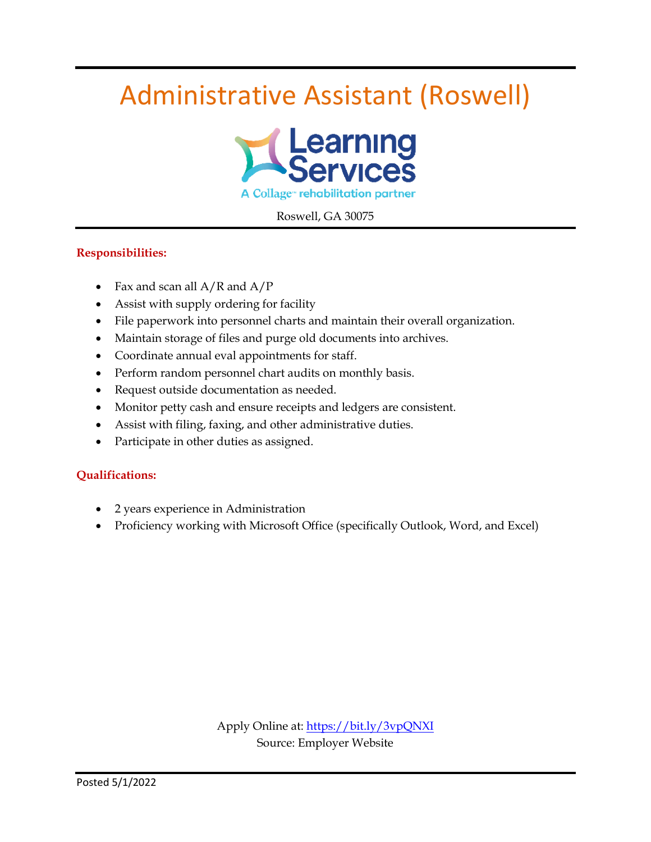### Administrative Assistant (Roswell)



Roswell, GA 30075

#### **Responsibilities:**

- Fax and scan all  $A/R$  and  $A/P$
- Assist with supply ordering for facility
- File paperwork into personnel charts and maintain their overall organization.
- Maintain storage of files and purge old documents into archives.
- Coordinate annual eval appointments for staff.
- Perform random personnel chart audits on monthly basis.
- Request outside documentation as needed.
- Monitor petty cash and ensure receipts and ledgers are consistent.
- Assist with filing, faxing, and other administrative duties.
- Participate in other duties as assigned.

#### **Qualifications:**

- 2 years experience in Administration
- Proficiency working with Microsoft Office (specifically Outlook, Word, and Excel)

Apply Online at:<https://bit.ly/3vpQNXI> Source: Employer Website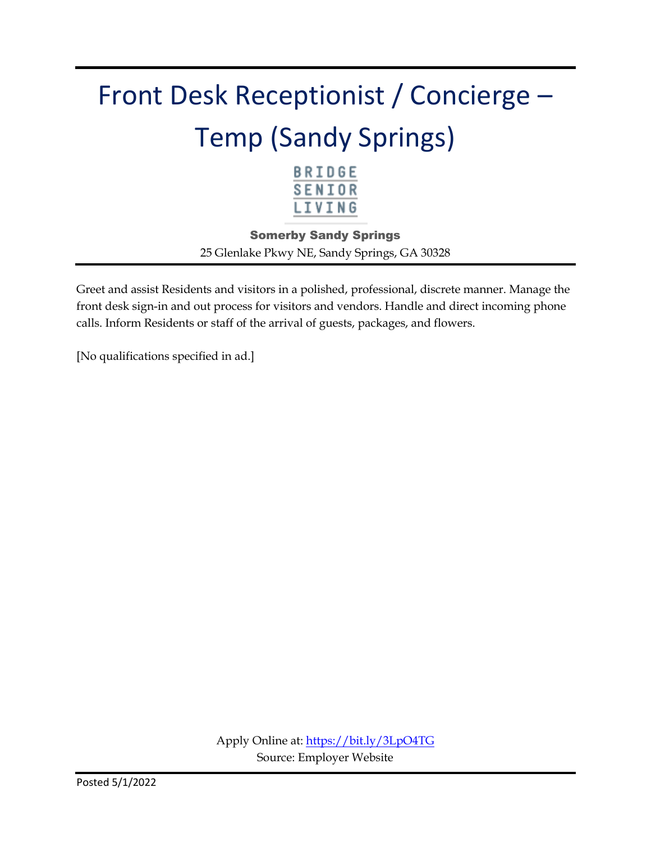# Front Desk Receptionist / Concierge – Temp (Sandy Springs)



Somerby Sandy Springs 25 Glenlake Pkwy NE, Sandy Springs, GA 30328

Greet and assist Residents and visitors in a polished, professional, discrete manner. Manage the front desk sign-in and out process for visitors and vendors. Handle and direct incoming phone calls. Inform Residents or staff of the arrival of guests, packages, and flowers.

[No qualifications specified in ad.]

Apply Online at:<https://bit.ly/3LpO4TG> Source: Employer Website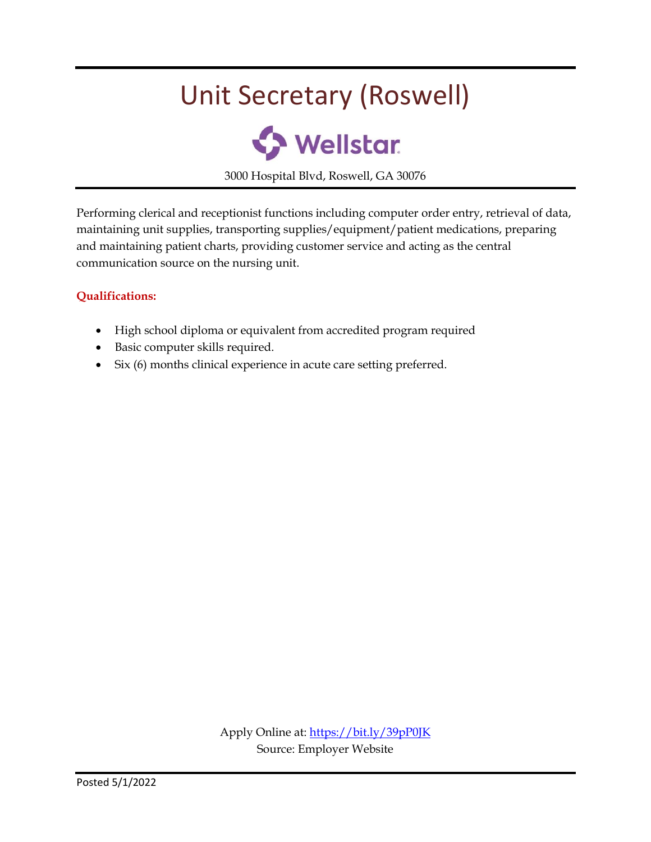### Unit Secretary (Roswell)



3000 Hospital Blvd, Roswell, GA 30076

Performing clerical and receptionist functions including computer order entry, retrieval of data, maintaining unit supplies, transporting supplies/equipment/patient medications, preparing and maintaining patient charts, providing customer service and acting as the central communication source on the nursing unit.

#### **Qualifications:**

- High school diploma or equivalent from accredited program required
- Basic computer skills required.
- Six (6) months clinical experience in acute care setting preferred.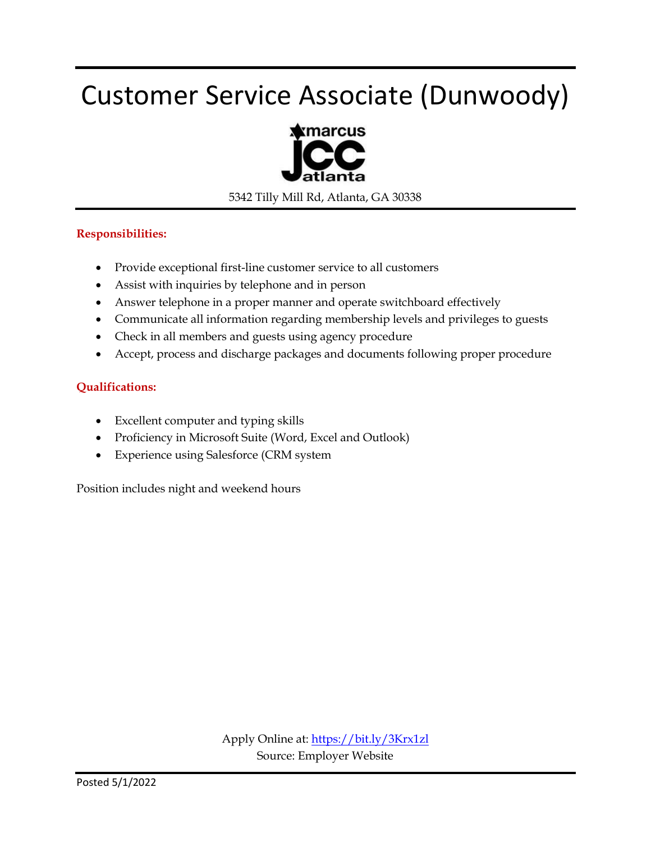### Customer Service Associate (Dunwoody)



5342 Tilly Mill Rd, Atlanta, GA 30338

#### **Responsibilities:**

- Provide exceptional first-line customer service to all customers
- Assist with inquiries by telephone and in person
- Answer telephone in a proper manner and operate switchboard effectively
- Communicate all information regarding membership levels and privileges to guests
- Check in all members and guests using agency procedure
- Accept, process and discharge packages and documents following proper procedure

#### **Qualifications:**

- Excellent computer and typing skills
- Proficiency in Microsoft Suite (Word, Excel and Outlook)
- Experience using Salesforce (CRM system

Position includes night and weekend hours

Apply Online at:<https://bit.ly/3Krx1zl> Source: Employer Website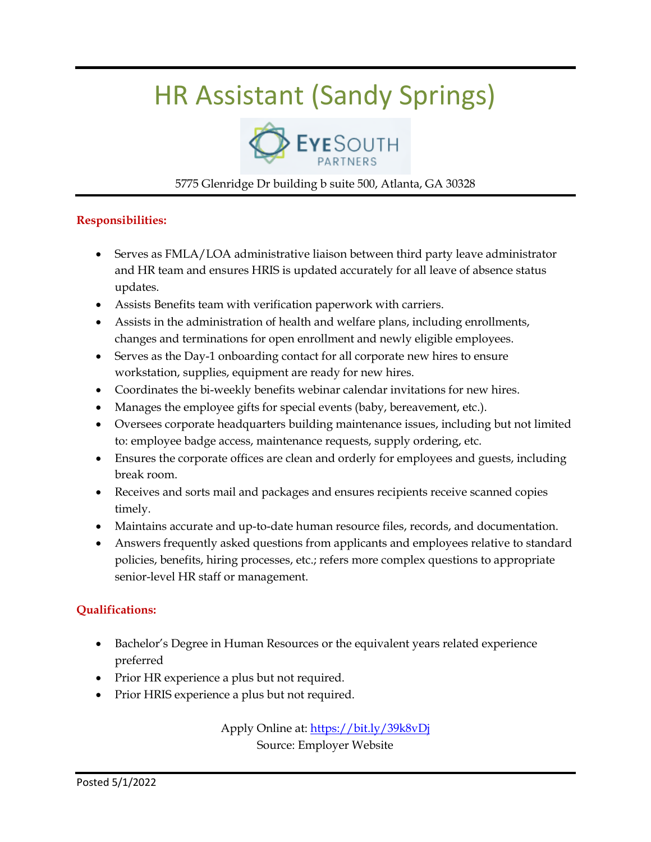### HR Assistant (Sandy Springs)



#### 5775 Glenridge Dr building b suite 500, Atlanta, GA 30328

#### **Responsibilities:**

- Serves as FMLA/LOA administrative liaison between third party leave administrator and HR team and ensures HRIS is updated accurately for all leave of absence status updates.
- Assists Benefits team with verification paperwork with carriers.
- Assists in the administration of health and welfare plans, including enrollments, changes and terminations for open enrollment and newly eligible employees.
- Serves as the Day-1 onboarding contact for all corporate new hires to ensure workstation, supplies, equipment are ready for new hires.
- Coordinates the bi-weekly benefits webinar calendar invitations for new hires.
- Manages the employee gifts for special events (baby, bereavement, etc.).
- Oversees corporate headquarters building maintenance issues, including but not limited to: employee badge access, maintenance requests, supply ordering, etc.
- Ensures the corporate offices are clean and orderly for employees and guests, including break room.
- Receives and sorts mail and packages and ensures recipients receive scanned copies timely.
- Maintains accurate and up-to-date human resource files, records, and documentation.
- Answers frequently asked questions from applicants and employees relative to standard policies, benefits, hiring processes, etc.; refers more complex questions to appropriate senior-level HR staff or management.

#### **Qualifications:**

- Bachelor's Degree in Human Resources or the equivalent years related experience preferred
- Prior HR experience a plus but not required.
- Prior HRIS experience a plus but not required.

Apply Online at:<https://bit.ly/39k8vDj> Source: Employer Website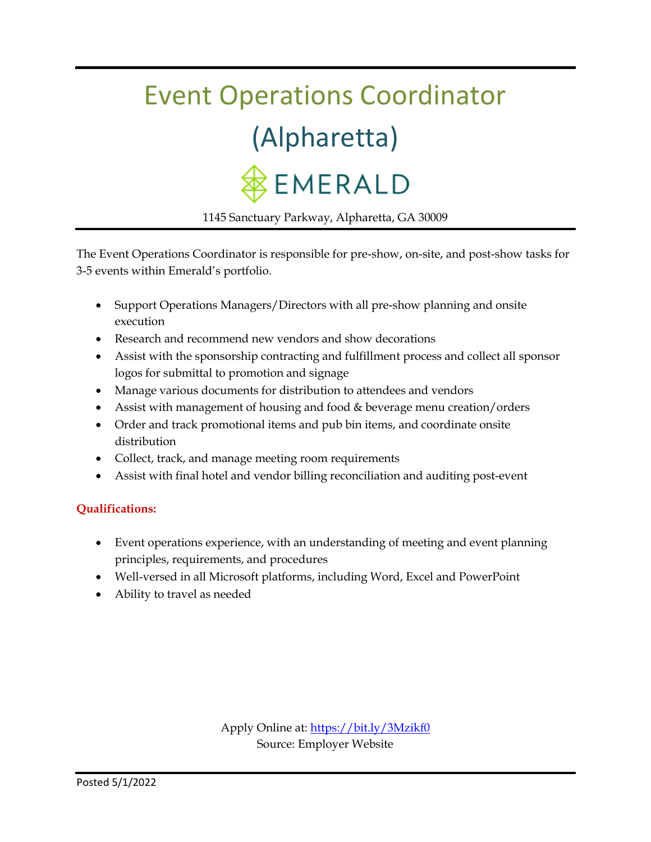# Event Operations Coordinator (Alpharetta) **EMERALD**

1145 Sanctuary Parkway, Alpharetta, GA 30009

The Event Operations Coordinator is responsible for pre-show, on-site, and post-show tasks for 3-5 events within Emerald's portfolio.

- Support Operations Managers/Directors with all pre-show planning and onsite execution
- Research and recommend new vendors and show decorations
- Assist with the sponsorship contracting and fulfillment process and collect all sponsor logos for submittal to promotion and signage
- Manage various documents for distribution to attendees and vendors
- Assist with management of housing and food & beverage menu creation/orders
- Order and track promotional items and pub bin items, and coordinate onsite distribution
- Collect, track, and manage meeting room requirements
- Assist with final hotel and vendor billing reconciliation and auditing post-event

#### **Qualifications:**

- Event operations experience, with an understanding of meeting and event planning principles, requirements, and procedures
- Well-versed in all Microsoft platforms, including Word, Excel and PowerPoint
- Ability to travel as needed

Apply Online at:<https://bit.ly/3Mzikf0> Source: Employer Website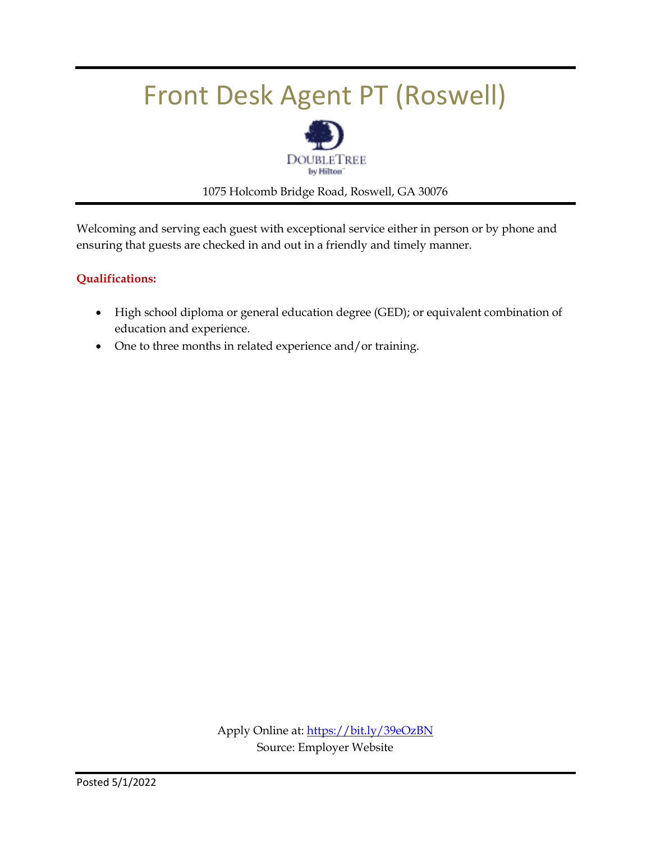### Front Desk Agent PT (Roswell)



1075 Holcomb Bridge Road, Roswell, GA 30076

Welcoming and serving each guest with exceptional service either in person or by phone and ensuring that guests are checked in and out in a friendly and timely manner.

#### **Qualifications:**

- High school diploma or general education degree (GED); or equivalent combination of education and experience.
- One to three months in related experience and/or training.

Apply Online at[: https://bit.ly/39eOzBN](https://bit.ly/39eOzBN) Source: Employer Website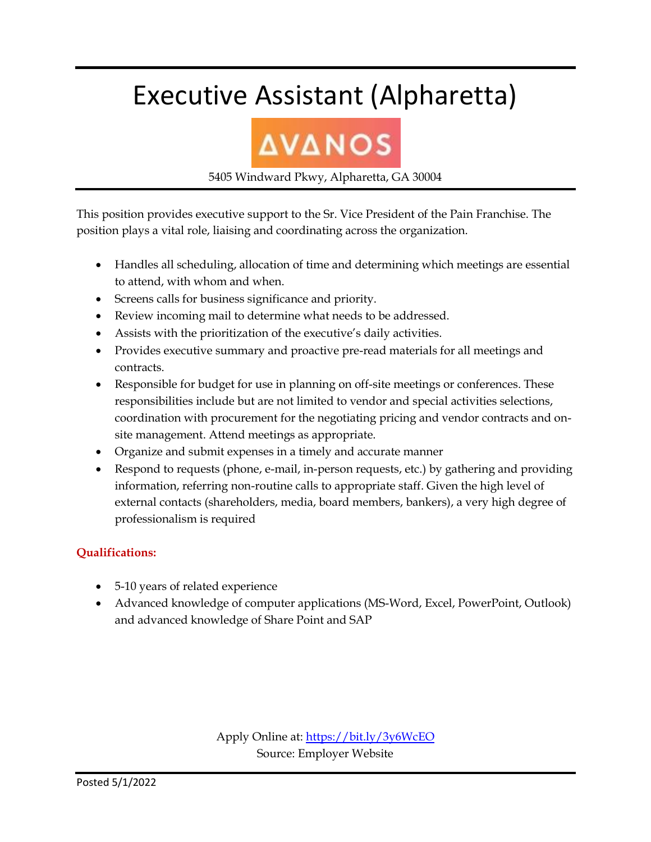### Executive Assistant (Alpharetta)

# **AVANOS**

5405 Windward Pkwy, Alpharetta, GA 30004

This position provides executive support to the Sr. Vice President of the Pain Franchise. The position plays a vital role, liaising and coordinating across the organization.

- Handles all scheduling, allocation of time and determining which meetings are essential to attend, with whom and when.
- Screens calls for business significance and priority.
- Review incoming mail to determine what needs to be addressed.
- Assists with the prioritization of the executive's daily activities.
- Provides executive summary and proactive pre-read materials for all meetings and contracts.
- Responsible for budget for use in planning on off-site meetings or conferences. These responsibilities include but are not limited to vendor and special activities selections, coordination with procurement for the negotiating pricing and vendor contracts and onsite management. Attend meetings as appropriate.
- Organize and submit expenses in a timely and accurate manner
- Respond to requests (phone, e-mail, in-person requests, etc.) by gathering and providing information, referring non-routine calls to appropriate staff. Given the high level of external contacts (shareholders, media, board members, bankers), a very high degree of professionalism is required

#### **Qualifications:**

- 5-10 years of related experience
- Advanced knowledge of computer applications (MS-Word, Excel, PowerPoint, Outlook) and advanced knowledge of Share Point and SAP

Apply Online at[: https://bit.ly/3y6WcEO](https://bit.ly/3y6WcEO) Source: Employer Website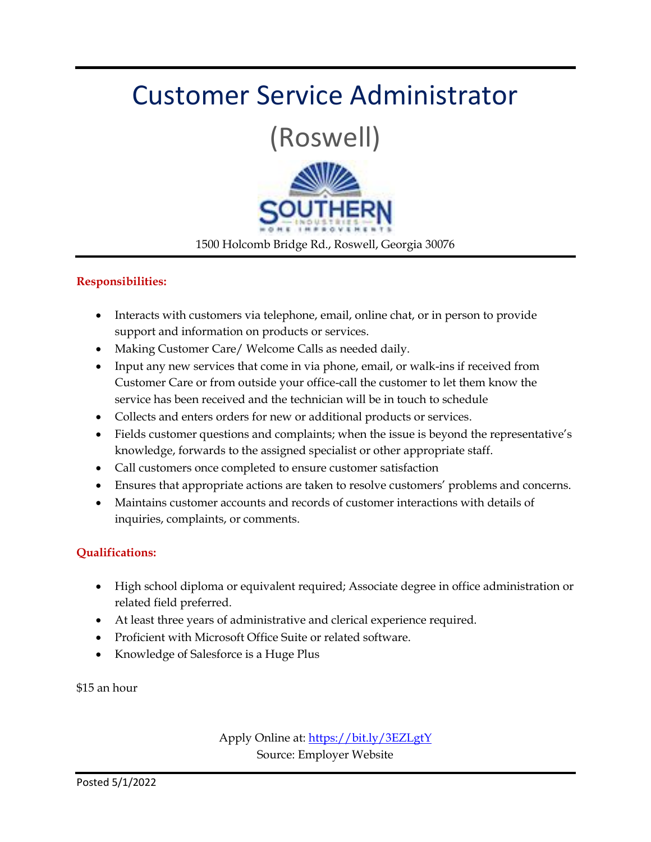### Customer Service Administrator

(Roswell)



1500 Holcomb Bridge Rd., Roswell, Georgia 30076

#### **Responsibilities:**

- Interacts with customers via telephone, email, online chat, or in person to provide support and information on products or services.
- Making Customer Care/ Welcome Calls as needed daily.
- Input any new services that come in via phone, email, or walk-ins if received from Customer Care or from outside your office-call the customer to let them know the service has been received and the technician will be in touch to schedule
- Collects and enters orders for new or additional products or services.
- Fields customer questions and complaints; when the issue is beyond the representative's knowledge, forwards to the assigned specialist or other appropriate staff.
- Call customers once completed to ensure customer satisfaction
- Ensures that appropriate actions are taken to resolve customers' problems and concerns.
- Maintains customer accounts and records of customer interactions with details of inquiries, complaints, or comments.

#### **Qualifications:**

- High school diploma or equivalent required; Associate degree in office administration or related field preferred.
- At least three years of administrative and clerical experience required.
- Proficient with Microsoft Office Suite or related software.
- Knowledge of Salesforce is a Huge Plus

\$15 an hour

Apply Online at:<https://bit.ly/3EZLgtY> Source: Employer Website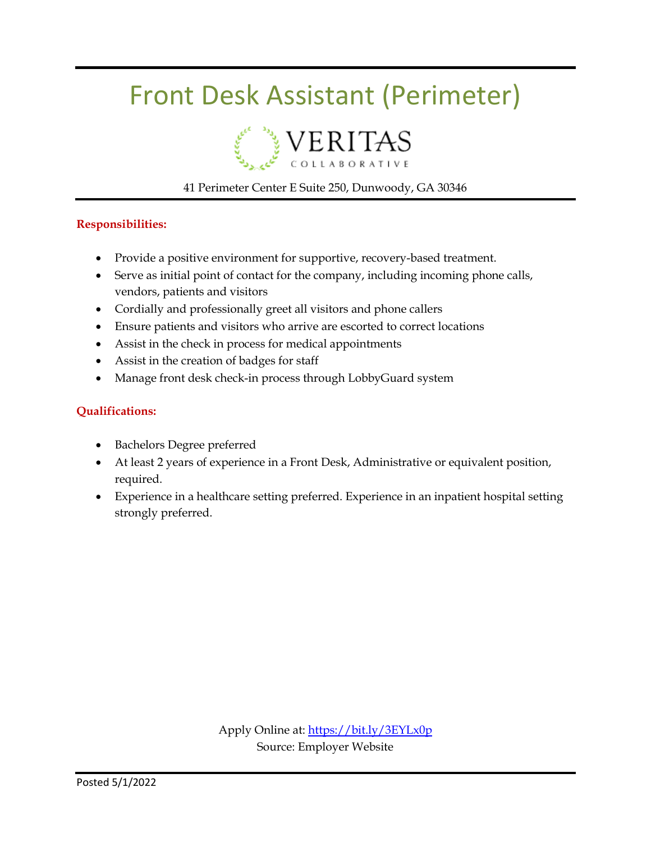### Front Desk Assistant (Perimeter)



#### 41 Perimeter Center E Suite 250, Dunwoody, GA 30346

#### **Responsibilities:**

- Provide a positive environment for supportive, recovery-based treatment.
- Serve as initial point of contact for the company, including incoming phone calls, vendors, patients and visitors
- Cordially and professionally greet all visitors and phone callers
- Ensure patients and visitors who arrive are escorted to correct locations
- Assist in the check in process for medical appointments
- Assist in the creation of badges for staff
- Manage front desk check-in process through LobbyGuard system

#### **Qualifications:**

- Bachelors Degree preferred
- At least 2 years of experience in a Front Desk, Administrative or equivalent position, required.
- Experience in a healthcare setting preferred. Experience in an inpatient hospital setting strongly preferred.

Apply Online at:<https://bit.ly/3EYLx0p> Source: Employer Website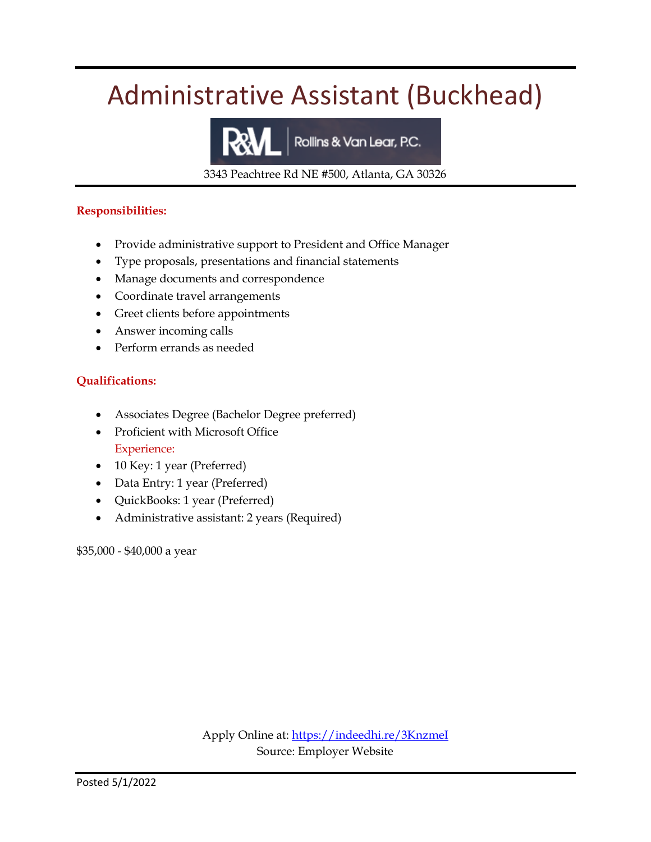### Administrative Assistant (Buckhead)

Rollins & Van Lear, P.C.

3343 Peachtree Rd NE #500, Atlanta, GA 30326

#### **Responsibilities:**

- Provide administrative support to President and Office Manager
- Type proposals, presentations and financial statements
- Manage documents and correspondence
- Coordinate travel arrangements
- Greet clients before appointments
- Answer incoming calls
- Perform errands as needed

#### **Qualifications:**

- Associates Degree (Bachelor Degree preferred)
- Proficient with Microsoft Office Experience:
- 10 Key: 1 year (Preferred)
- Data Entry: 1 year (Preferred)
- QuickBooks: 1 year (Preferred)
- Administrative assistant: 2 years (Required)

\$35,000 - \$40,000 a year

Apply Online at:<https://indeedhi.re/3KnzmeI> Source: Employer Website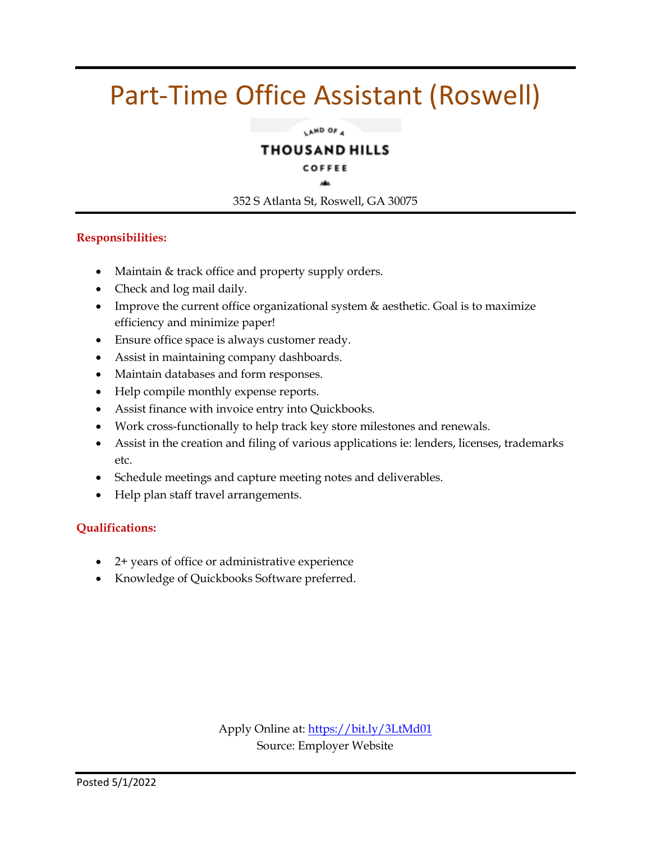### Part-Time Office Assistant (Roswell)

LAND OF 4

#### **THOUSAND HILLS**

#### COFFEE

352 S Atlanta St, Roswell, GA 30075

#### **Responsibilities:**

- Maintain & track office and property supply orders.
- Check and log mail daily.
- Improve the current office organizational system & aesthetic. Goal is to maximize efficiency and minimize paper!
- Ensure office space is always customer ready.
- Assist in maintaining company dashboards.
- Maintain databases and form responses.
- Help compile monthly expense reports.
- Assist finance with invoice entry into Quickbooks.
- Work cross-functionally to help track key store milestones and renewals.
- Assist in the creation and filing of various applications ie: lenders, licenses, trademarks etc.
- Schedule meetings and capture meeting notes and deliverables.
- Help plan staff travel arrangements.

#### **Qualifications:**

- 2+ years of office or administrative experience
- Knowledge of Quickbooks Software preferred.

Apply Online at:<https://bit.ly/3LtMd01> Source: Employer Website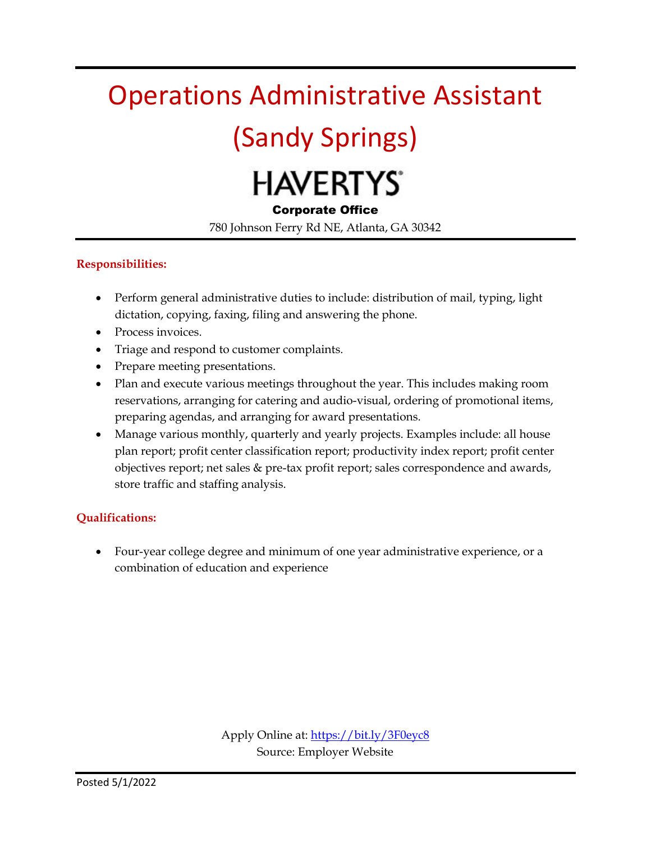### Operations Administrative Assistant

### (Sandy Springs)

# **HAVERTYS**

#### Corporate Office

780 Johnson Ferry Rd NE, Atlanta, GA 30342

#### **Responsibilities:**

- Perform general administrative duties to include: distribution of mail, typing, light dictation, copying, faxing, filing and answering the phone.
- Process invoices.
- Triage and respond to customer complaints.
- Prepare meeting presentations.
- Plan and execute various meetings throughout the year. This includes making room reservations, arranging for catering and audio-visual, ordering of promotional items, preparing agendas, and arranging for award presentations.
- Manage various monthly, quarterly and yearly projects. Examples include: all house plan report; profit center classification report; productivity index report; profit center objectives report; net sales & pre-tax profit report; sales correspondence and awards, store traffic and staffing analysis.

#### **Qualifications:**

 Four-year college degree and minimum of one year administrative experience, or a combination of education and experience

> Apply Online at:<https://bit.ly/3F0eyc8> Source: Employer Website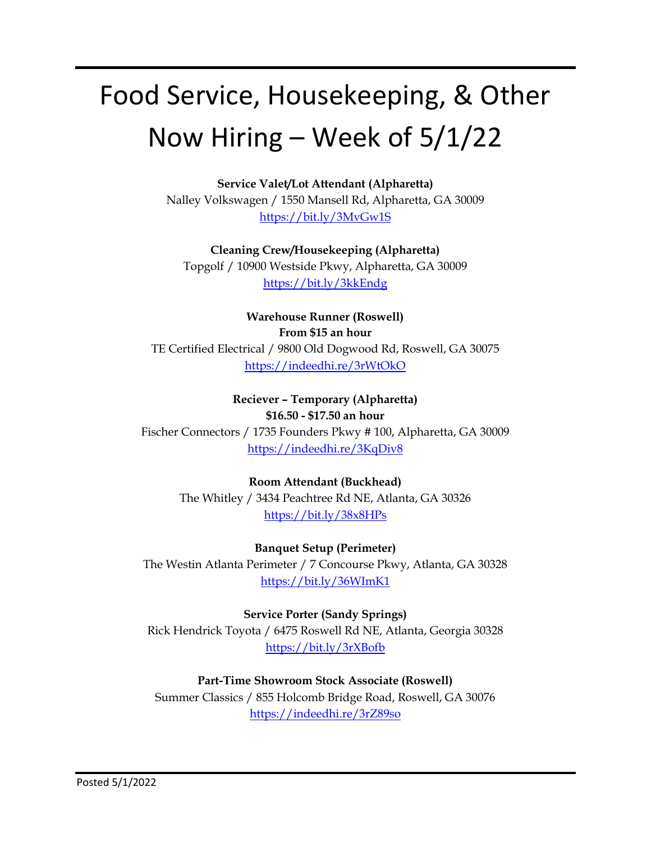## Food Service, Housekeeping, & Other Now Hiring – Week of 5/1/22

**Service Valet/Lot Attendant (Alpharetta)**

Nalley Volkswagen / 1550 Mansell Rd, Alpharetta, GA 30009 <https://bit.ly/3MvGw1S>

**Cleaning Crew/Housekeeping (Alpharetta)**

Topgolf / 10900 Westside Pkwy, Alpharetta, GA 30009 <https://bit.ly/3kkEndg>

**Warehouse Runner (Roswell) From \$15 an hour** TE Certified Electrical / 9800 Old Dogwood Rd, Roswell, GA 30075 <https://indeedhi.re/3rWtOkO>

**Reciever – Temporary (Alpharetta) \$16.50 - \$17.50 an hour** Fischer Connectors / 1735 Founders Pkwy # 100, Alpharetta, GA 30009 <https://indeedhi.re/3KqDiv8>

> **Room Attendant (Buckhead)** The Whitley / 3434 Peachtree Rd NE, Atlanta, GA 30326 <https://bit.ly/38x8HPs>

**Banquet Setup (Perimeter)** The Westin Atlanta Perimeter / 7 Concourse Pkwy, Atlanta, GA 30328 <https://bit.ly/36WImK1>

**Service Porter (Sandy Springs)** Rick Hendrick Toyota / 6475 Roswell Rd NE, Atlanta, Georgia 30328 <https://bit.ly/3rXBofb>

**Part-Time Showroom Stock Associate (Roswell)** Summer Classics / 855 Holcomb Bridge Road, Roswell, GA 30076 <https://indeedhi.re/3rZ89so>